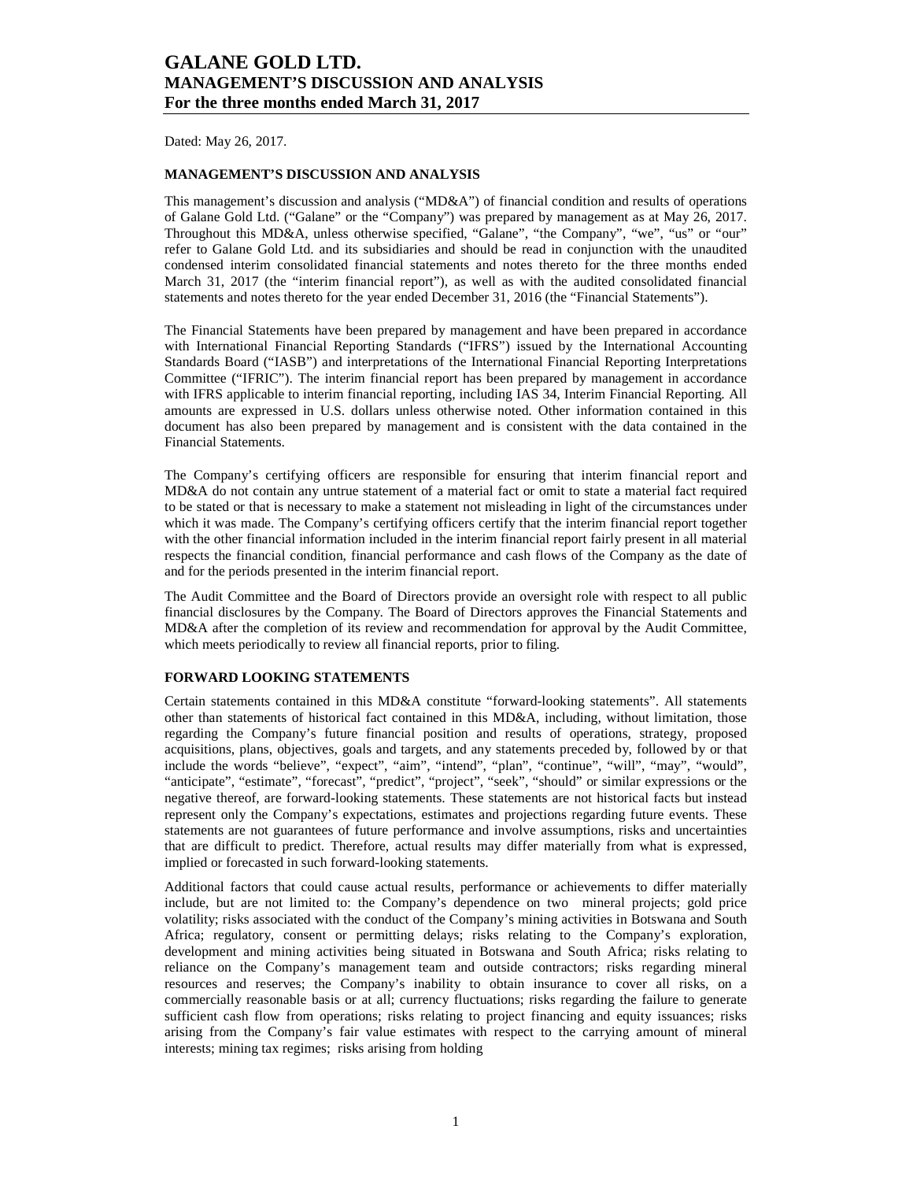Dated: May 26, 2017.

### **MANAGEMENT'S DISCUSSION AND ANALYSIS**

This management's discussion and analysis ("MD&A") of financial condition and results of operations of Galane Gold Ltd. ("Galane" or the "Company") was prepared by management as at May 26, 2017. Throughout this MD&A, unless otherwise specified, "Galane", "the Company", "we", "us" or "our" refer to Galane Gold Ltd. and its subsidiaries and should be read in conjunction with the unaudited condensed interim consolidated financial statements and notes thereto for the three months ended March 31, 2017 (the "interim financial report"), as well as with the audited consolidated financial statements and notes thereto for the year ended December 31, 2016 (the "Financial Statements").

The Financial Statements have been prepared by management and have been prepared in accordance with International Financial Reporting Standards ("IFRS") issued by the International Accounting Standards Board ("IASB") and interpretations of the International Financial Reporting Interpretations Committee ("IFRIC"). The interim financial report has been prepared by management in accordance with IFRS applicable to interim financial reporting, including IAS 34, Interim Financial Reporting. All amounts are expressed in U.S. dollars unless otherwise noted. Other information contained in this document has also been prepared by management and is consistent with the data contained in the Financial Statements.

The Company's certifying officers are responsible for ensuring that interim financial report and MD&A do not contain any untrue statement of a material fact or omit to state a material fact required to be stated or that is necessary to make a statement not misleading in light of the circumstances under which it was made. The Company's certifying officers certify that the interim financial report together with the other financial information included in the interim financial report fairly present in all material respects the financial condition, financial performance and cash flows of the Company as the date of and for the periods presented in the interim financial report.

The Audit Committee and the Board of Directors provide an oversight role with respect to all public financial disclosures by the Company. The Board of Directors approves the Financial Statements and MD&A after the completion of its review and recommendation for approval by the Audit Committee, which meets periodically to review all financial reports, prior to filing.

### **FORWARD LOOKING STATEMENTS**

Certain statements contained in this MD&A constitute "forward-looking statements". All statements other than statements of historical fact contained in this MD&A, including, without limitation, those regarding the Company's future financial position and results of operations, strategy, proposed acquisitions, plans, objectives, goals and targets, and any statements preceded by, followed by or that include the words "believe", "expect", "aim", "intend", "plan", "continue", "will", "may", "would", "anticipate", "estimate", "forecast", "predict", "project", "seek", "should" or similar expressions or the negative thereof, are forward-looking statements. These statements are not historical facts but instead represent only the Company's expectations, estimates and projections regarding future events. These statements are not guarantees of future performance and involve assumptions, risks and uncertainties that are difficult to predict. Therefore, actual results may differ materially from what is expressed, implied or forecasted in such forward-looking statements.

Additional factors that could cause actual results, performance or achievements to differ materially include, but are not limited to: the Company's dependence on two mineral projects; gold price volatility; risks associated with the conduct of the Company's mining activities in Botswana and South Africa; regulatory, consent or permitting delays; risks relating to the Company's exploration, development and mining activities being situated in Botswana and South Africa; risks relating to reliance on the Company's management team and outside contractors; risks regarding mineral resources and reserves; the Company's inability to obtain insurance to cover all risks, on a commercially reasonable basis or at all; currency fluctuations; risks regarding the failure to generate sufficient cash flow from operations; risks relating to project financing and equity issuances; risks arising from the Company's fair value estimates with respect to the carrying amount of mineral interests; mining tax regimes; risks arising from holding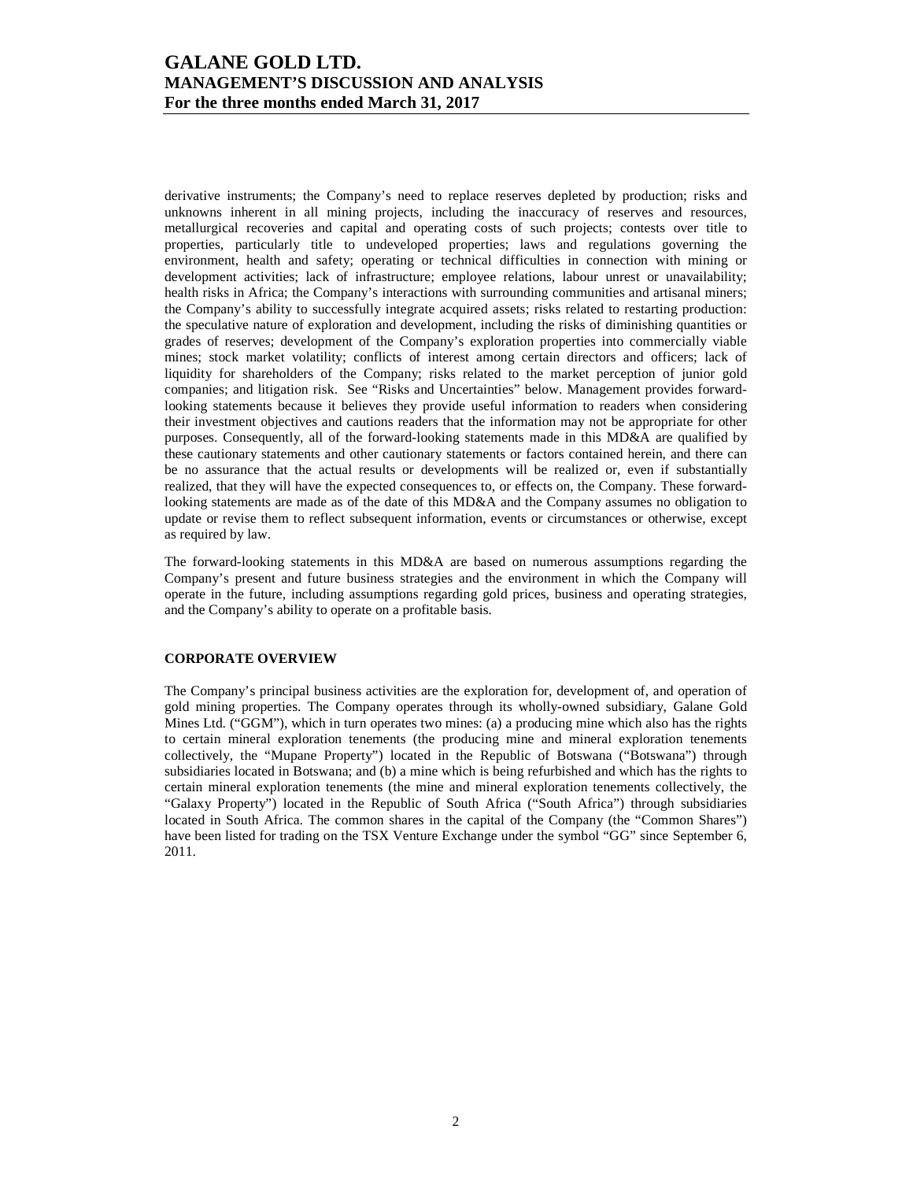derivative instruments; the Company's need to replace reserves depleted by production; risks and unknowns inherent in all mining projects, including the inaccuracy of reserves and resources, metallurgical recoveries and capital and operating costs of such projects; contests over title to properties, particularly title to undeveloped properties; laws and regulations governing the environment, health and safety; operating or technical difficulties in connection with mining or development activities; lack of infrastructure; employee relations, labour unrest or unavailability; health risks in Africa; the Company's interactions with surrounding communities and artisanal miners; the Company's ability to successfully integrate acquired assets; risks related to restarting production: the speculative nature of exploration and development, including the risks of diminishing quantities or grades of reserves; development of the Company's exploration properties into commercially viable mines; stock market volatility; conflicts of interest among certain directors and officers; lack of liquidity for shareholders of the Company; risks related to the market perception of junior gold companies; and litigation risk. See "Risks and Uncertainties" below. Management provides forwardlooking statements because it believes they provide useful information to readers when considering their investment objectives and cautions readers that the information may not be appropriate for other purposes. Consequently, all of the forward-looking statements made in this MD&A are qualified by these cautionary statements and other cautionary statements or factors contained herein, and there can be no assurance that the actual results or developments will be realized or, even if substantially realized, that they will have the expected consequences to, or effects on, the Company. These forwardlooking statements are made as of the date of this MD&A and the Company assumes no obligation to update or revise them to reflect subsequent information, events or circumstances or otherwise, except as required by law.

The forward-looking statements in this MD&A are based on numerous assumptions regarding the Company's present and future business strategies and the environment in which the Company will operate in the future, including assumptions regarding gold prices, business and operating strategies, and the Company's ability to operate on a profitable basis.

### **CORPORATE OVERVIEW**

The Company's principal business activities are the exploration for, development of, and operation of gold mining properties. The Company operates through its wholly-owned subsidiary, Galane Gold Mines Ltd. ("GGM"), which in turn operates two mines: (a) a producing mine which also has the rights to certain mineral exploration tenements (the producing mine and mineral exploration tenements collectively, the "Mupane Property") located in the Republic of Botswana ("Botswana") through subsidiaries located in Botswana; and (b) a mine which is being refurbished and which has the rights to certain mineral exploration tenements (the mine and mineral exploration tenements collectively, the "Galaxy Property") located in the Republic of South Africa ("South Africa") through subsidiaries located in South Africa. The common shares in the capital of the Company (the "Common Shares") have been listed for trading on the TSX Venture Exchange under the symbol "GG" since September 6, 2011.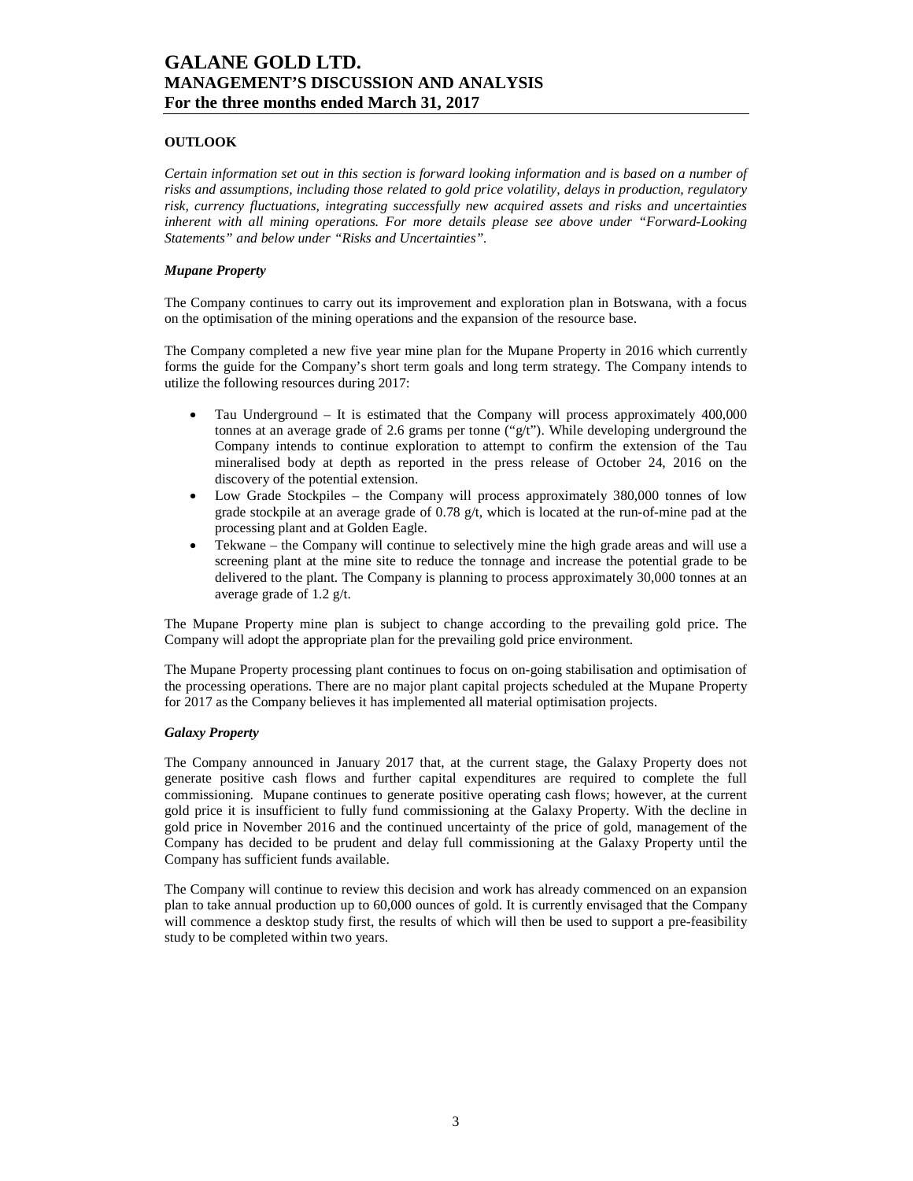### **OUTLOOK**

*Certain information set out in this section is forward looking information and is based on a number of risks and assumptions, including those related to gold price volatility, delays in production, regulatory risk, currency fluctuations, integrating successfully new acquired assets and risks and uncertainties inherent with all mining operations. For more details please see above under "Forward-Looking Statements" and below under "Risks and Uncertainties".* 

#### *Mupane Property*

The Company continues to carry out its improvement and exploration plan in Botswana, with a focus on the optimisation of the mining operations and the expansion of the resource base.

The Company completed a new five year mine plan for the Mupane Property in 2016 which currently forms the guide for the Company's short term goals and long term strategy. The Company intends to utilize the following resources during 2017:

- Tau Underground It is estimated that the Company will process approximately 400,000 tonnes at an average grade of 2.6 grams per tonne  $("g/t")$ . While developing underground the Company intends to continue exploration to attempt to confirm the extension of the Tau mineralised body at depth as reported in the press release of October 24, 2016 on the discovery of the potential extension.
- Low Grade Stockpiles the Company will process approximately 380,000 tonnes of low grade stockpile at an average grade of  $0.78 \frac{\mathrm{g}}{\mathrm{t}}$ , which is located at the run-of-mine pad at the processing plant and at Golden Eagle.
- Tekwane the Company will continue to selectively mine the high grade areas and will use a screening plant at the mine site to reduce the tonnage and increase the potential grade to be delivered to the plant. The Company is planning to process approximately 30,000 tonnes at an average grade of 1.2 g/t.

The Mupane Property mine plan is subject to change according to the prevailing gold price. The Company will adopt the appropriate plan for the prevailing gold price environment.

The Mupane Property processing plant continues to focus on on-going stabilisation and optimisation of the processing operations. There are no major plant capital projects scheduled at the Mupane Property for 2017 as the Company believes it has implemented all material optimisation projects.

### *Galaxy Property*

The Company announced in January 2017 that, at the current stage, the Galaxy Property does not generate positive cash flows and further capital expenditures are required to complete the full commissioning. Mupane continues to generate positive operating cash flows; however, at the current gold price it is insufficient to fully fund commissioning at the Galaxy Property. With the decline in gold price in November 2016 and the continued uncertainty of the price of gold, management of the Company has decided to be prudent and delay full commissioning at the Galaxy Property until the Company has sufficient funds available.

The Company will continue to review this decision and work has already commenced on an expansion plan to take annual production up to 60,000 ounces of gold. It is currently envisaged that the Company will commence a desktop study first, the results of which will then be used to support a pre-feasibility study to be completed within two years.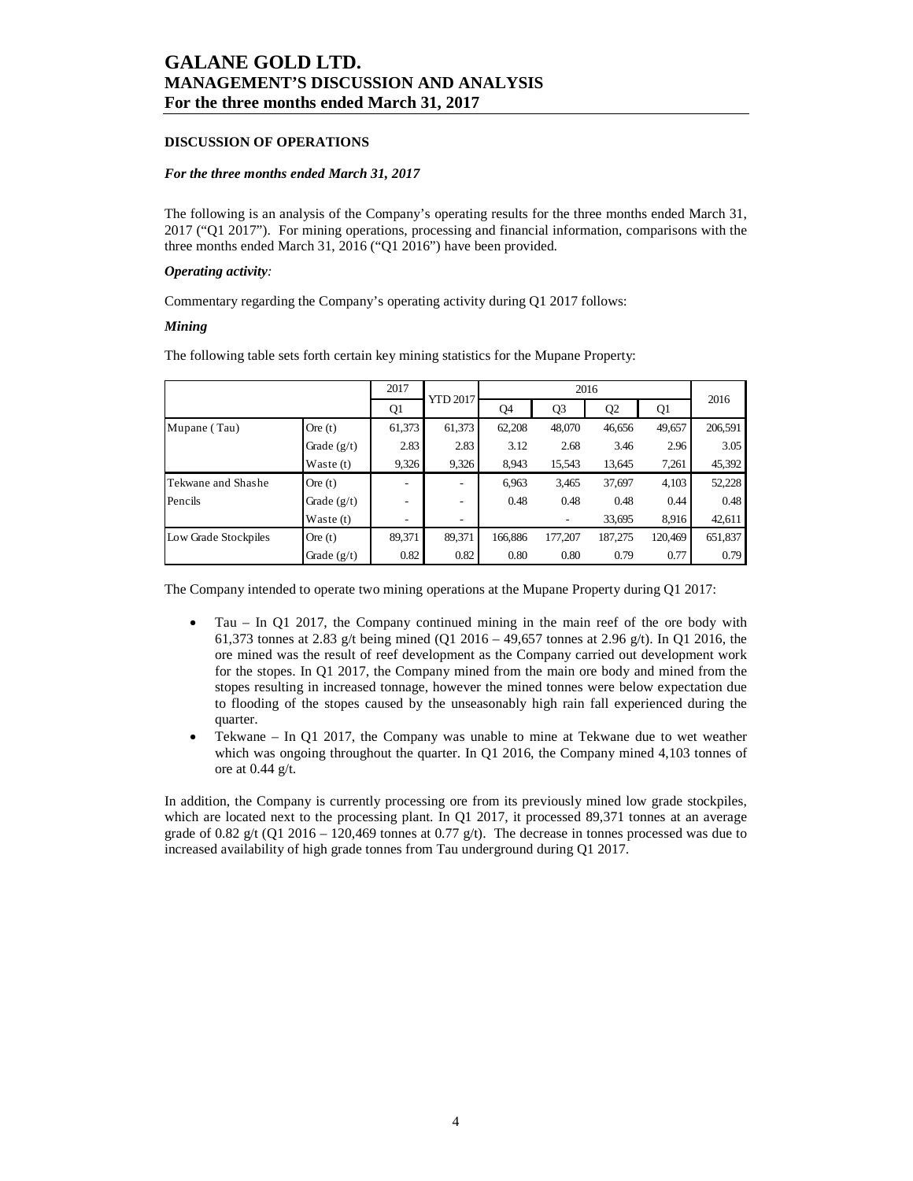#### **DISCUSSION OF OPERATIONS**

#### *For the three months ended March 31, 2017*

The following is an analysis of the Company's operating results for the three months ended March 31, 2017 ("Q1 2017"). For mining operations, processing and financial information, comparisons with the three months ended March 31, 2016 ("Q1 2016") have been provided.

#### *Operating activity:*

Commentary regarding the Company's operating activity during Q1 2017 follows:

#### *Mining*

The following table sets forth certain key mining statistics for the Mupane Property:

|                      | 2017          | YTD 2017 |        | 2016    |                |         |         |         |
|----------------------|---------------|----------|--------|---------|----------------|---------|---------|---------|
|                      |               | Q1       |        | Q4      | Q <sub>3</sub> |         | Q1      |         |
| Mupane (Tau)         | Ore $(t)$     | 61,373   | 61,373 | 62,208  | 48,070         | 46,656  | 49,657  | 206,591 |
|                      | Grade $(g/t)$ | 2.83     | 2.83   | 3.12    | 2.68           | 3.46    | 2.96    | 3.05    |
|                      | Waste $(t)$   | 9,326    | 9,326  | 8,943   | 15,543         | 13,645  | 7,261   | 45,392  |
| Tekwane and Shashe   | Ore $(t)$     |          | -      | 6,963   | 3,465          | 37,697  | 4,103   | 52,228  |
| Pencils              | Grade $(g/t)$ | ۰        | -      | 0.48    | 0.48           | 0.48    | 0.44    | 0.48    |
|                      | Waste $(t)$   |          | -      |         |                | 33,695  | 8,916   | 42,611  |
| Low Grade Stockpiles | Ore $(t)$     | 89,371   | 89,371 | 166,886 | 177,207        | 187,275 | 120,469 | 651,837 |
|                      | Grade $(g/t)$ | 0.82     | 0.82   | 0.80    | 0.80           | 0.79    | 0.77    | 0.79    |

The Company intended to operate two mining operations at the Mupane Property during Q1 2017:

- Tau In Q1 2017, the Company continued mining in the main reef of the ore body with 61,373 tonnes at 2.83 g/t being mined (Q1 2016 – 49,657 tonnes at 2.96 g/t). In Q1 2016, the ore mined was the result of reef development as the Company carried out development work for the stopes. In Q1 2017, the Company mined from the main ore body and mined from the stopes resulting in increased tonnage, however the mined tonnes were below expectation due to flooding of the stopes caused by the unseasonably high rain fall experienced during the quarter.
- Tekwane In Q1 2017, the Company was unable to mine at Tekwane due to wet weather which was ongoing throughout the quarter. In Q1 2016, the Company mined 4,103 tonnes of ore at 0.44 g/t.

In addition, the Company is currently processing ore from its previously mined low grade stockpiles, which are located next to the processing plant. In Q1 2017, it processed 89,371 tonnes at an average grade of 0.82 g/t (Q1 2016 – 120,469 tonnes at 0.77 g/t). The decrease in tonnes processed was due to increased availability of high grade tonnes from Tau underground during Q1 2017.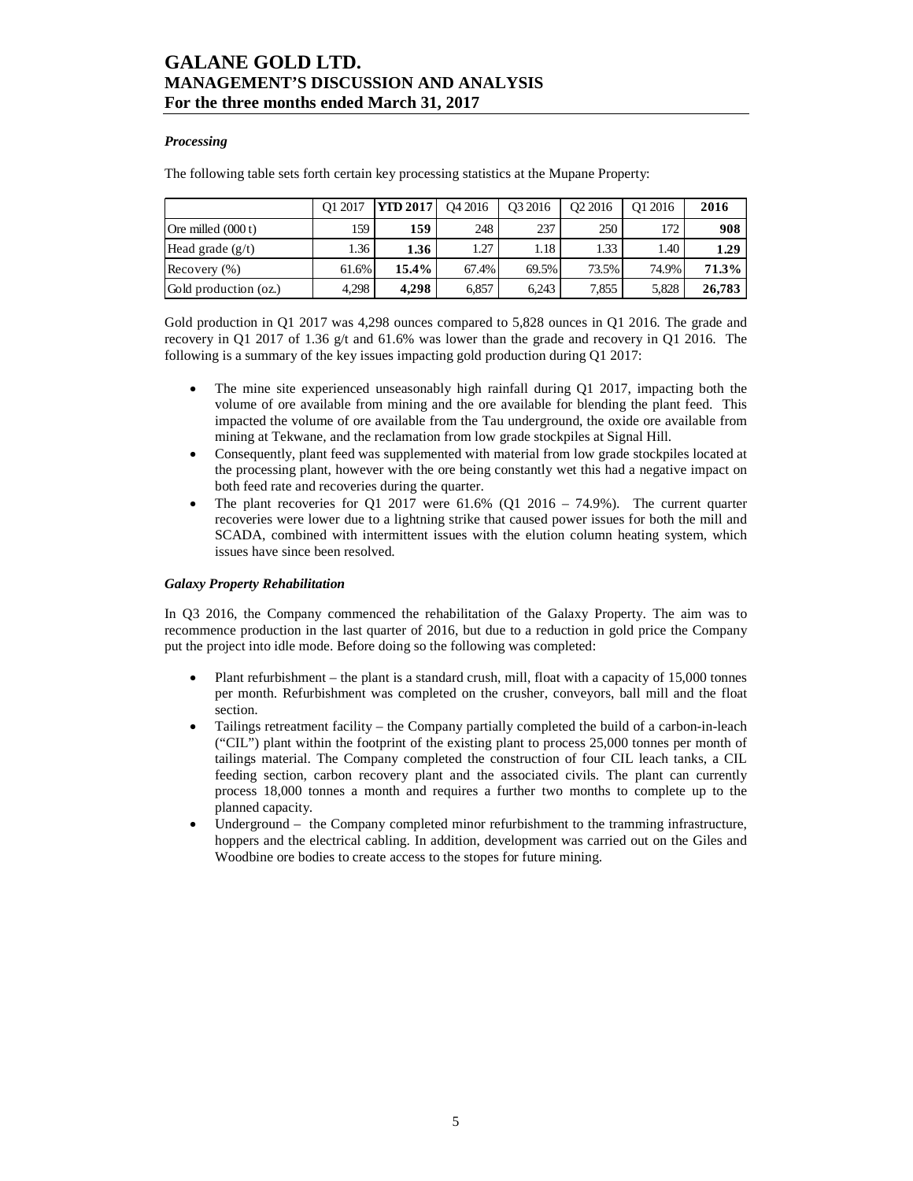### *Processing*

The following table sets forth certain key processing statistics at the Mupane Property:

|                       | O1 2017 | <b>YTD 2017</b> | O <sub>4</sub> 2016 | O <sub>3</sub> 2016 | O <sub>2</sub> 2016 | O1 2016 | 2016   |
|-----------------------|---------|-----------------|---------------------|---------------------|---------------------|---------|--------|
| Ore milled $(000 t)$  | 159     | 159             | 248                 | 237                 | 250                 | 172     | 908    |
| Head grade $(g/t)$    | 1.36    | 1.36            | 1.27                | 1.18                | 1.33                | 1.40    | 1.29   |
| Recovery $(\% )$      | 61.6%   | 15.4%           | 67.4%               | 69.5%               | 73.5%               | 74.9%   | 71.3%  |
| Gold production (oz.) | 4,298   | 4.298           | 6,857               | 6.243               | 7,855               | 5.828   | 26,783 |

Gold production in Q1 2017 was 4,298 ounces compared to 5,828 ounces in Q1 2016. The grade and recovery in Q1 2017 of 1.36 g/t and 61.6% was lower than the grade and recovery in Q1 2016. The following is a summary of the key issues impacting gold production during Q1 2017:

- The mine site experienced unseasonably high rainfall during Q1 2017, impacting both the volume of ore available from mining and the ore available for blending the plant feed. This impacted the volume of ore available from the Tau underground, the oxide ore available from mining at Tekwane, and the reclamation from low grade stockpiles at Signal Hill.
- Consequently, plant feed was supplemented with material from low grade stockpiles located at the processing plant, however with the ore being constantly wet this had a negative impact on both feed rate and recoveries during the quarter.
- The plant recoveries for Q1 2017 were  $61.6\%$  (Q1 2016 74.9%). The current quarter recoveries were lower due to a lightning strike that caused power issues for both the mill and SCADA, combined with intermittent issues with the elution column heating system, which issues have since been resolved.

### *Galaxy Property Rehabilitation*

In Q3 2016, the Company commenced the rehabilitation of the Galaxy Property. The aim was to recommence production in the last quarter of 2016, but due to a reduction in gold price the Company put the project into idle mode. Before doing so the following was completed:

- Plant refurbishment the plant is a standard crush, mill, float with a capacity of 15,000 tonnes per month. Refurbishment was completed on the crusher, conveyors, ball mill and the float section.
- Tailings retreatment facility the Company partially completed the build of a carbon-in-leach ("CIL") plant within the footprint of the existing plant to process 25,000 tonnes per month of tailings material. The Company completed the construction of four CIL leach tanks, a CIL feeding section, carbon recovery plant and the associated civils. The plant can currently process 18,000 tonnes a month and requires a further two months to complete up to the planned capacity.
- Underground the Company completed minor refurbishment to the tramming infrastructure, hoppers and the electrical cabling. In addition, development was carried out on the Giles and Woodbine ore bodies to create access to the stopes for future mining.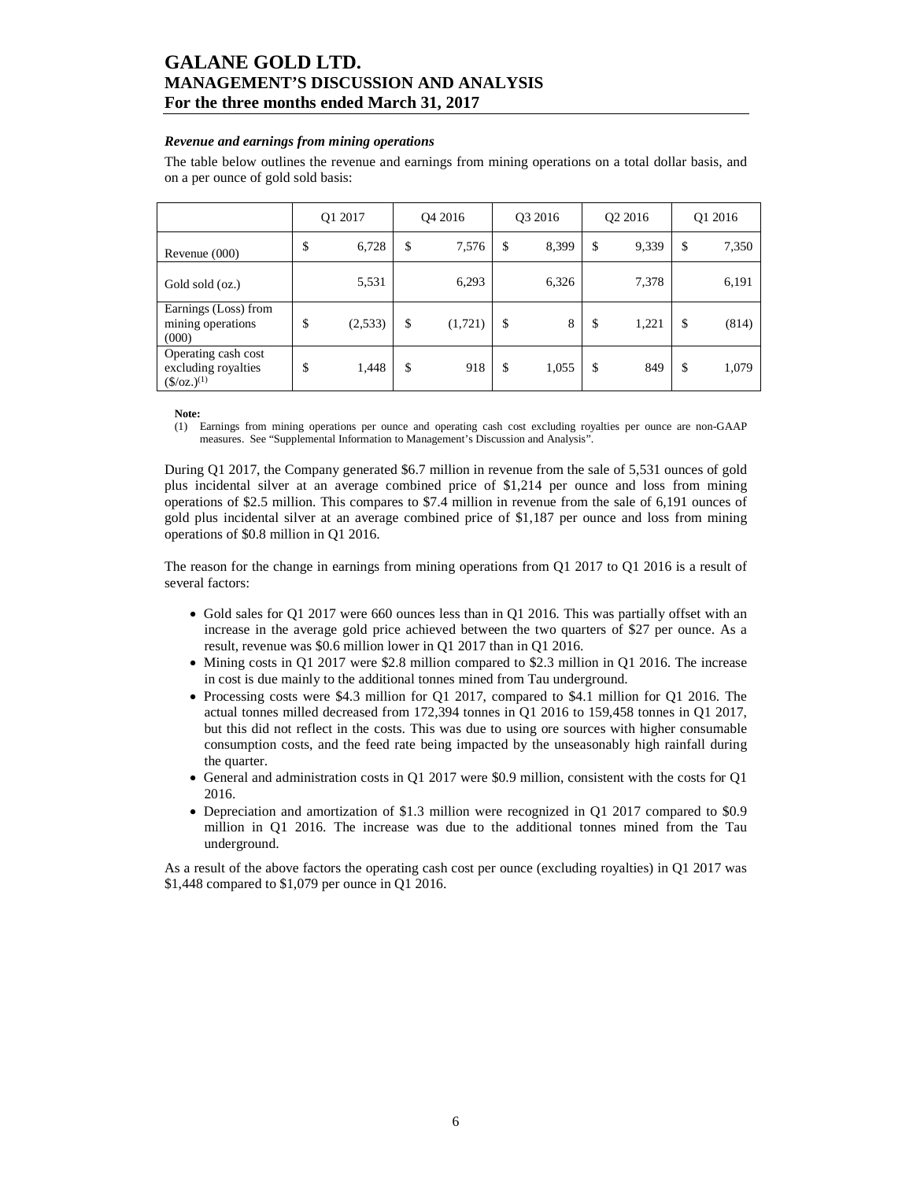### *Revenue and earnings from mining operations*

The table below outlines the revenue and earnings from mining operations on a total dollar basis, and on a per ounce of gold sold basis:

|                                                                           | Q1 2017 |         |    | O <sub>4</sub> 2016 |    | O <sub>3</sub> 2016 |    | O <sub>2</sub> 2016 |    | Q1 2016 |  |
|---------------------------------------------------------------------------|---------|---------|----|---------------------|----|---------------------|----|---------------------|----|---------|--|
| Revenue $(000)$                                                           | \$      | 6,728   | \$ | 7,576               | \$ | 8,399               | \$ | 9,339               | \$ | 7,350   |  |
| Gold sold (oz.)                                                           |         | 5,531   |    | 6,293               |    | 6,326               |    | 7,378               |    | 6,191   |  |
| Earnings (Loss) from<br>mining operations<br>(000)                        | \$      | (2,533) | \$ | (1,721)             | \$ | 8                   | \$ | 1,221               | \$ | (814)   |  |
| Operating cash cost<br>excluding royalties<br>$(\frac{\csc(1)}{2})^{(1)}$ | \$      | 1,448   | \$ | 918                 | \$ | 1,055               | \$ | 849                 | \$ | 1,079   |  |

**Note:** 

(1) Earnings from mining operations per ounce and operating cash cost excluding royalties per ounce are non-GAAP measures. See "Supplemental Information to Management's Discussion and Analysis".

During Q1 2017, the Company generated \$6.7 million in revenue from the sale of 5,531 ounces of gold plus incidental silver at an average combined price of \$1,214 per ounce and loss from mining operations of \$2.5 million. This compares to \$7.4 million in revenue from the sale of 6,191 ounces of gold plus incidental silver at an average combined price of \$1,187 per ounce and loss from mining operations of \$0.8 million in Q1 2016.

The reason for the change in earnings from mining operations from Q1 2017 to Q1 2016 is a result of several factors:

- Gold sales for Q1 2017 were 660 ounces less than in Q1 2016. This was partially offset with an increase in the average gold price achieved between the two quarters of \$27 per ounce. As a result, revenue was \$0.6 million lower in Q1 2017 than in Q1 2016.
- Mining costs in Q1 2017 were \$2.8 million compared to \$2.3 million in Q1 2016. The increase in cost is due mainly to the additional tonnes mined from Tau underground.
- Processing costs were \$4.3 million for Q1 2017, compared to \$4.1 million for Q1 2016. The actual tonnes milled decreased from 172,394 tonnes in Q1 2016 to 159,458 tonnes in Q1 2017, but this did not reflect in the costs. This was due to using ore sources with higher consumable consumption costs, and the feed rate being impacted by the unseasonably high rainfall during the quarter.
- General and administration costs in Q1 2017 were \$0.9 million, consistent with the costs for Q1 2016.
- Depreciation and amortization of \$1.3 million were recognized in Q1 2017 compared to \$0.9 million in Q1 2016. The increase was due to the additional tonnes mined from the Tau underground.

As a result of the above factors the operating cash cost per ounce (excluding royalties) in Q1 2017 was \$1,448 compared to \$1,079 per ounce in Q1 2016.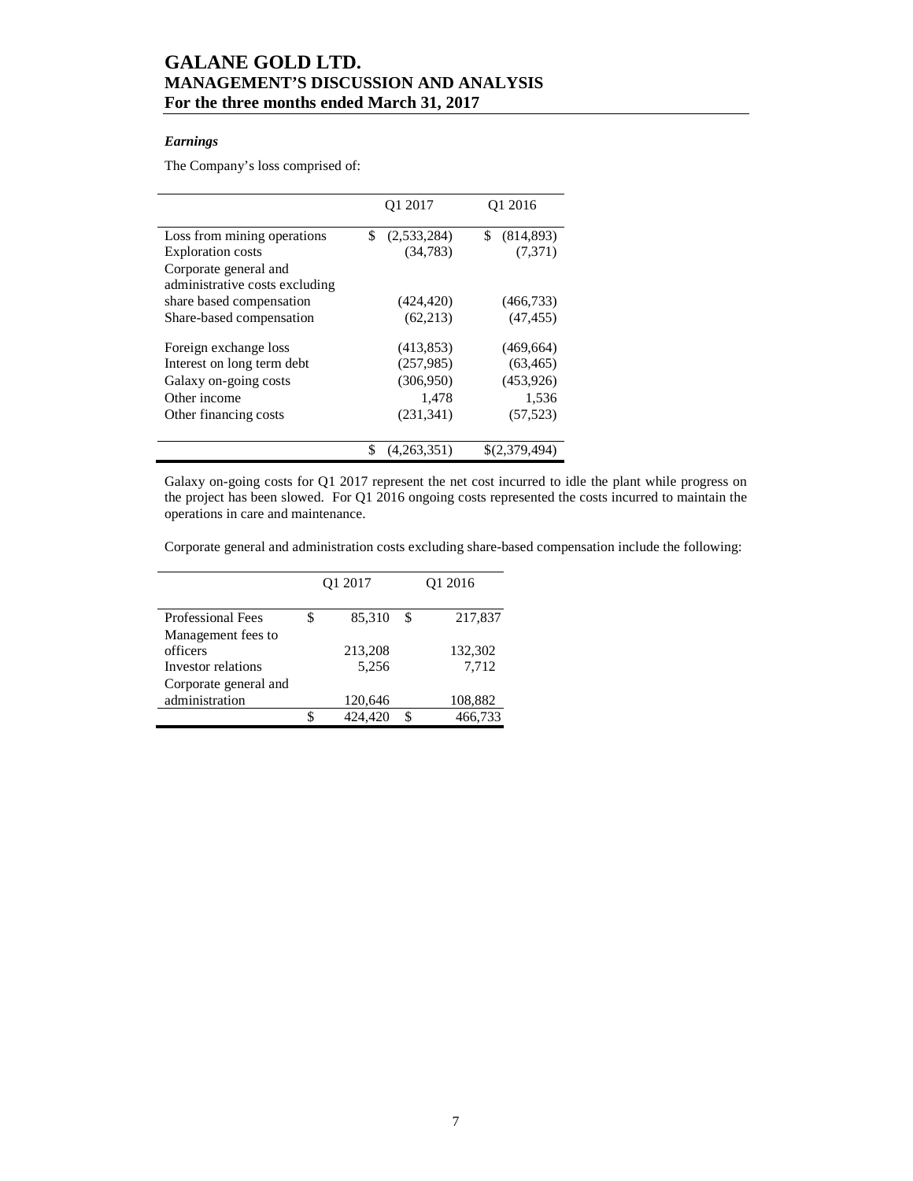### *Earnings*

The Company's loss comprised of:

|                                | Q1 2017           | O <sub>1</sub> 2016 |
|--------------------------------|-------------------|---------------------|
| Loss from mining operations    | \$<br>(2,533,284) | (814, 893)<br>\$    |
| <b>Exploration costs</b>       | (34, 783)         | (7,371)             |
| Corporate general and          |                   |                     |
| administrative costs excluding |                   |                     |
| share based compensation       | (424, 420)        | (466, 733)          |
| Share-based compensation       | (62, 213)         | (47, 455)           |
| Foreign exchange loss          | (413, 853)        | (469, 664)          |
| Interest on long term debt     | (257,985)         | (63, 465)           |
| Galaxy on-going costs          | (306,950)         | (453, 926)          |
| Other income                   | 1,478             | 1,536               |
| Other financing costs          | (231, 341)        | (57, 523)           |
|                                |                   |                     |
|                                | \$<br>(4,263,351) | \$(2,379,494)       |

Galaxy on-going costs for Q1 2017 represent the net cost incurred to idle the plant while progress on the project has been slowed. For Q1 2016 ongoing costs represented the costs incurred to maintain the operations in care and maintenance.

Corporate general and administration costs excluding share-based compensation include the following:

|                                         | Q1 2017 |         |    | O <sub>1</sub> 2016 |
|-----------------------------------------|---------|---------|----|---------------------|
| <b>Professional Fees</b>                | \$      | 85,310  | \$ | 217,837             |
| Management fees to<br>officers          |         | 213,208 |    | 132,302             |
| Investor relations                      |         | 5,256   |    | 7,712               |
| Corporate general and<br>administration |         | 120,646 |    | 108,882             |
|                                         |         | 424.420 | \$ | 466,733             |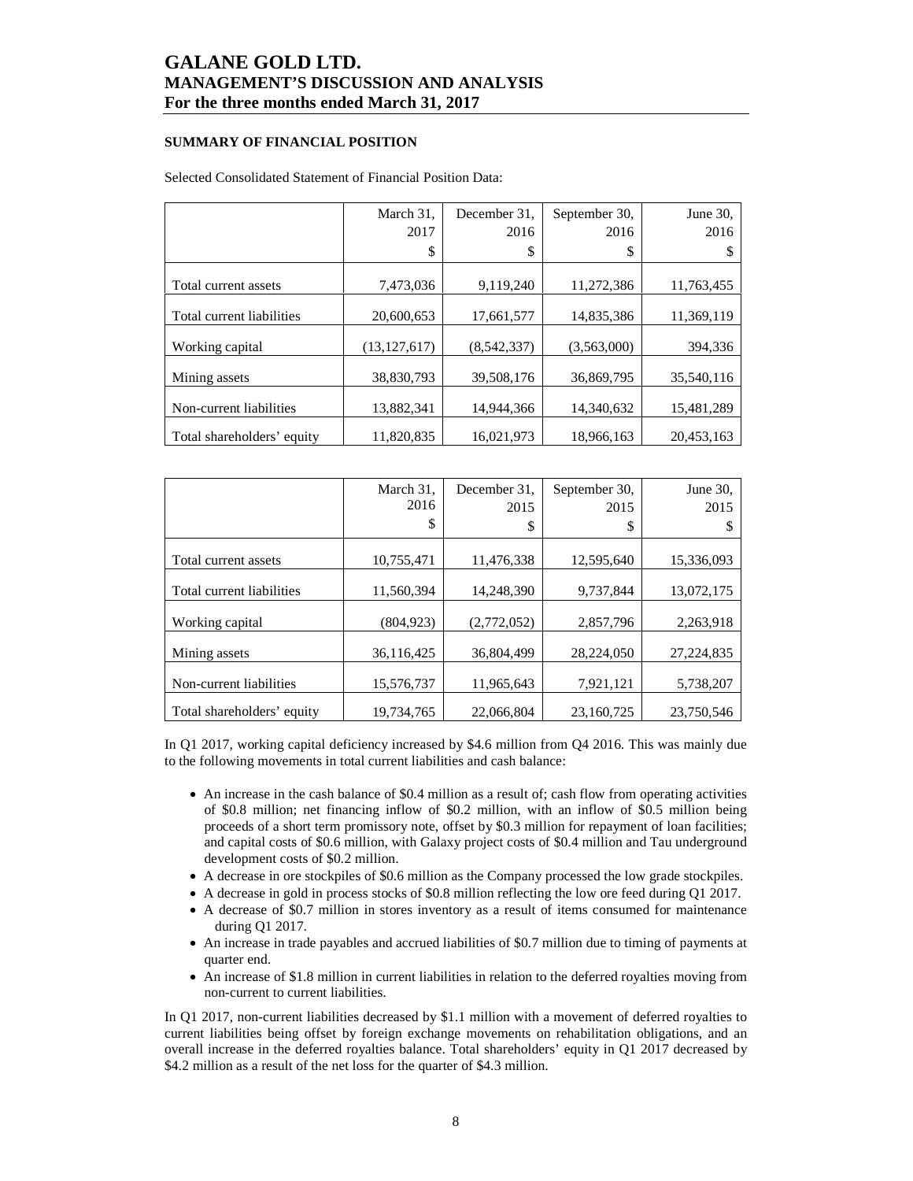### **SUMMARY OF FINANCIAL POSITION**

#### Selected Consolidated Statement of Financial Position Data:

|                            | March 31,      | December 31, | September 30, | June 30.   |
|----------------------------|----------------|--------------|---------------|------------|
|                            | 2017           | 2016         | 2016          | 2016       |
|                            | \$             | \$           | \$            |            |
|                            |                |              |               |            |
| Total current assets       | 7,473,036      | 9,119,240    | 11,272,386    | 11,763,455 |
| Total current liabilities  | 20,600,653     | 17,661,577   | 14,835,386    | 11,369,119 |
| Working capital            | (13, 127, 617) | (8,542,337)  | (3,563,000)   | 394,336    |
| Mining assets              | 38,830,793     | 39,508,176   | 36,869,795    | 35,540,116 |
| Non-current liabilities    | 13,882,341     | 14,944,366   | 14,340,632    | 15,481,289 |
| Total shareholders' equity | 11,820,835     | 16,021,973   | 18,966,163    | 20,453,163 |

|                            | March 31,<br>2016<br>\$ | December 31,<br>2015<br>\$ | September 30,<br>2015<br>\$ | June 30.<br>2015 |
|----------------------------|-------------------------|----------------------------|-----------------------------|------------------|
| Total current assets       | 10,755,471              | 11,476,338                 | 12,595,640                  | 15,336,093       |
| Total current liabilities  | 11,560,394              | 14,248,390                 | 9,737,844                   | 13,072,175       |
| Working capital            | (804, 923)              | (2,772,052)                | 2,857,796                   | 2,263,918        |
| Mining assets              | 36,116,425              | 36,804,499                 | 28.224.050                  | 27, 224, 835     |
| Non-current liabilities    | 15,576,737              | 11,965,643                 | 7,921,121                   | 5,738,207        |
| Total shareholders' equity | 19.734.765              | 22,066,804                 | 23.160.725                  | 23.750.546       |

In Q1 2017, working capital deficiency increased by \$4.6 million from Q4 2016. This was mainly due to the following movements in total current liabilities and cash balance:

- An increase in the cash balance of \$0.4 million as a result of; cash flow from operating activities of \$0.8 million; net financing inflow of \$0.2 million, with an inflow of \$0.5 million being proceeds of a short term promissory note, offset by \$0.3 million for repayment of loan facilities; and capital costs of \$0.6 million, with Galaxy project costs of \$0.4 million and Tau underground development costs of \$0.2 million.
- A decrease in ore stockpiles of \$0.6 million as the Company processed the low grade stockpiles.
- A decrease in gold in process stocks of \$0.8 million reflecting the low ore feed during Q1 2017.
- A decrease of \$0.7 million in stores inventory as a result of items consumed for maintenance during Q1 2017.
- An increase in trade payables and accrued liabilities of \$0.7 million due to timing of payments at quarter end.
- An increase of \$1.8 million in current liabilities in relation to the deferred royalties moving from non-current to current liabilities.

In Q1 2017, non-current liabilities decreased by \$1.1 million with a movement of deferred royalties to current liabilities being offset by foreign exchange movements on rehabilitation obligations, and an overall increase in the deferred royalties balance. Total shareholders' equity in Q1 2017 decreased by \$4.2 million as a result of the net loss for the quarter of \$4.3 million.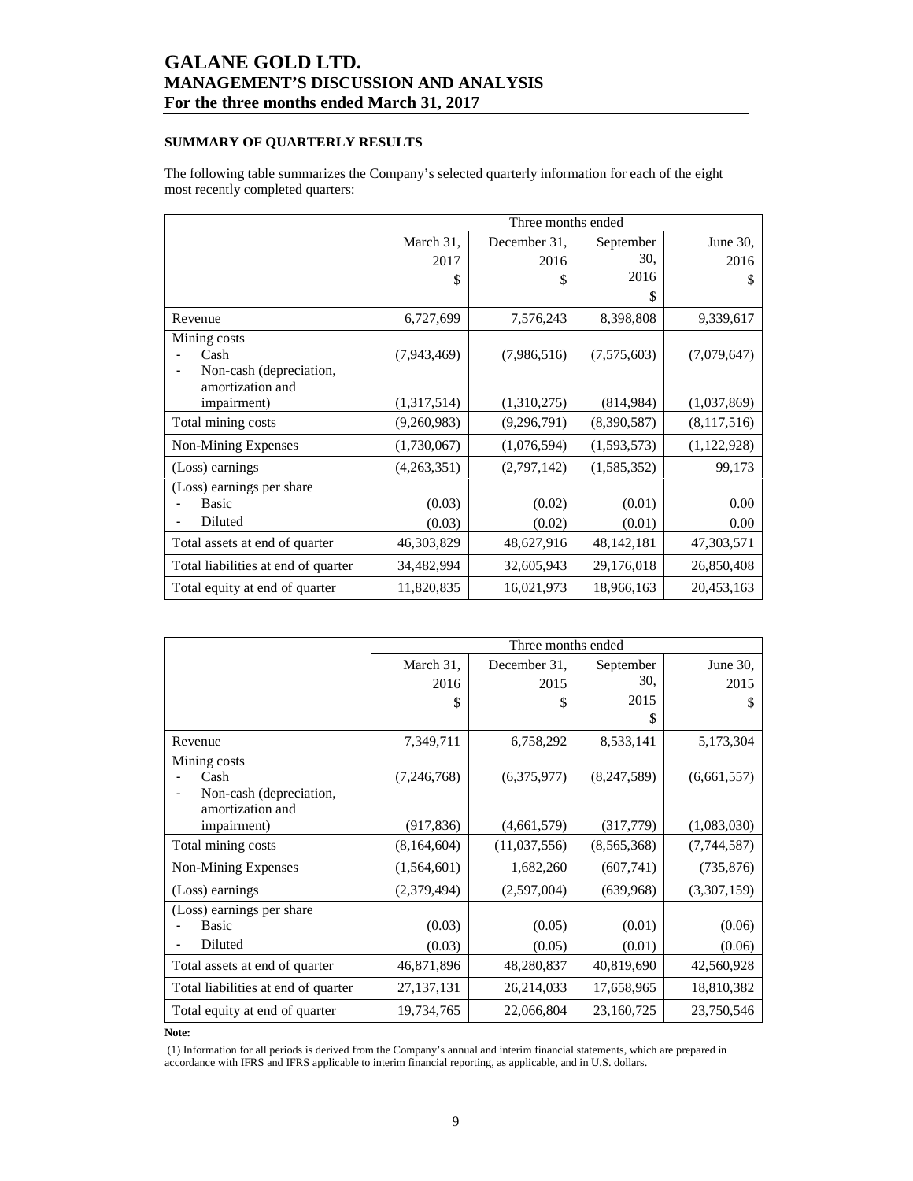## **SUMMARY OF QUARTERLY RESULTS**

The following table summarizes the Company's selected quarterly information for each of the eight most recently completed quarters:

|                                     |             | Three months ended |              |             |
|-------------------------------------|-------------|--------------------|--------------|-------------|
|                                     | March 31,   | December 31.       | September    | June 30,    |
|                                     | 2017        | 2016               | 30.          | 2016        |
|                                     | \$          | \$                 | 2016         | \$          |
|                                     |             |                    | S            |             |
| Revenue                             | 6,727,699   | 7,576,243          | 8,398,808    | 9,339,617   |
| Mining costs                        |             |                    |              |             |
| Cash                                | (7,943,469) | (7,986,516)        | (7,575,603)  | (7,079,647) |
| Non-cash (depreciation,             |             |                    |              |             |
| amortization and<br>impairment)     | (1,317,514) | (1,310,275)        | (814,984)    | (1,037,869) |
| Total mining costs                  | (9,260,983) | (9,296,791)        | (8,390,587)  | (8,117,516) |
|                                     |             |                    |              |             |
| Non-Mining Expenses                 | (1,730,067) | (1,076,594)        | (1,593,573)  | (1,122,928) |
| (Loss) earnings                     | (4,263,351) | (2,797,142)        | (1,585,352)  | 99,173      |
| (Loss) earnings per share           |             |                    |              |             |
| Basic                               | (0.03)      | (0.02)             | (0.01)       | 0.00        |
| Diluted                             | (0.03)      | (0.02)             | (0.01)       | 0.00        |
| Total assets at end of quarter      | 46,303,829  | 48,627,916         | 48, 142, 181 | 47,303,571  |
| Total liabilities at end of quarter | 34,482,994  | 32,605,943         | 29,176,018   | 26,850,408  |
| Total equity at end of quarter      | 11,820,835  | 16,021,973         | 18,966,163   | 20,453,163  |

|                                             |              | Three months ended |             |             |
|---------------------------------------------|--------------|--------------------|-------------|-------------|
|                                             | March 31,    | December 31.       | September   | June 30,    |
|                                             | 2016         | 2015               | 30,         | 2015        |
|                                             | \$           | S                  | 2015        | \$          |
|                                             |              |                    | \$          |             |
| Revenue                                     | 7,349,711    | 6,758,292          | 8,533,141   | 5,173,304   |
| Mining costs                                |              |                    |             |             |
| Cash                                        | (7,246,768)  | (6,375,977)        | (8,247,589) | (6,661,557) |
| Non-cash (depreciation,<br>amortization and |              |                    |             |             |
| impairment)                                 | (917, 836)   | (4,661,579)        | (317, 779)  | (1,083,030) |
| Total mining costs                          | (8,164,604)  | (11,037,556)       | (8,565,368) | (7,744,587) |
| Non-Mining Expenses                         | (1,564,601)  | 1,682,260          | (607,741)   | (735, 876)  |
| (Loss) earnings                             | (2,379,494)  | (2,597,004)        | (639,968)   | (3,307,159) |
| (Loss) earnings per share                   |              |                    |             |             |
| Basic                                       | (0.03)       | (0.05)             | (0.01)      | (0.06)      |
| Diluted                                     | (0.03)       | (0.05)             | (0.01)      | (0.06)      |
| Total assets at end of quarter              | 46,871,896   | 48,280,837         | 40,819,690  | 42,560,928  |
| Total liabilities at end of quarter         | 27, 137, 131 | 26,214,033         | 17,658,965  | 18,810,382  |
| Total equity at end of quarter              | 19,734,765   | 22,066,804         | 23,160,725  | 23,750,546  |

**Note:** 

 (1) Information for all periods is derived from the Company's annual and interim financial statements, which are prepared in accordance with IFRS and IFRS applicable to interim financial reporting, as applicable, and in U.S. dollars.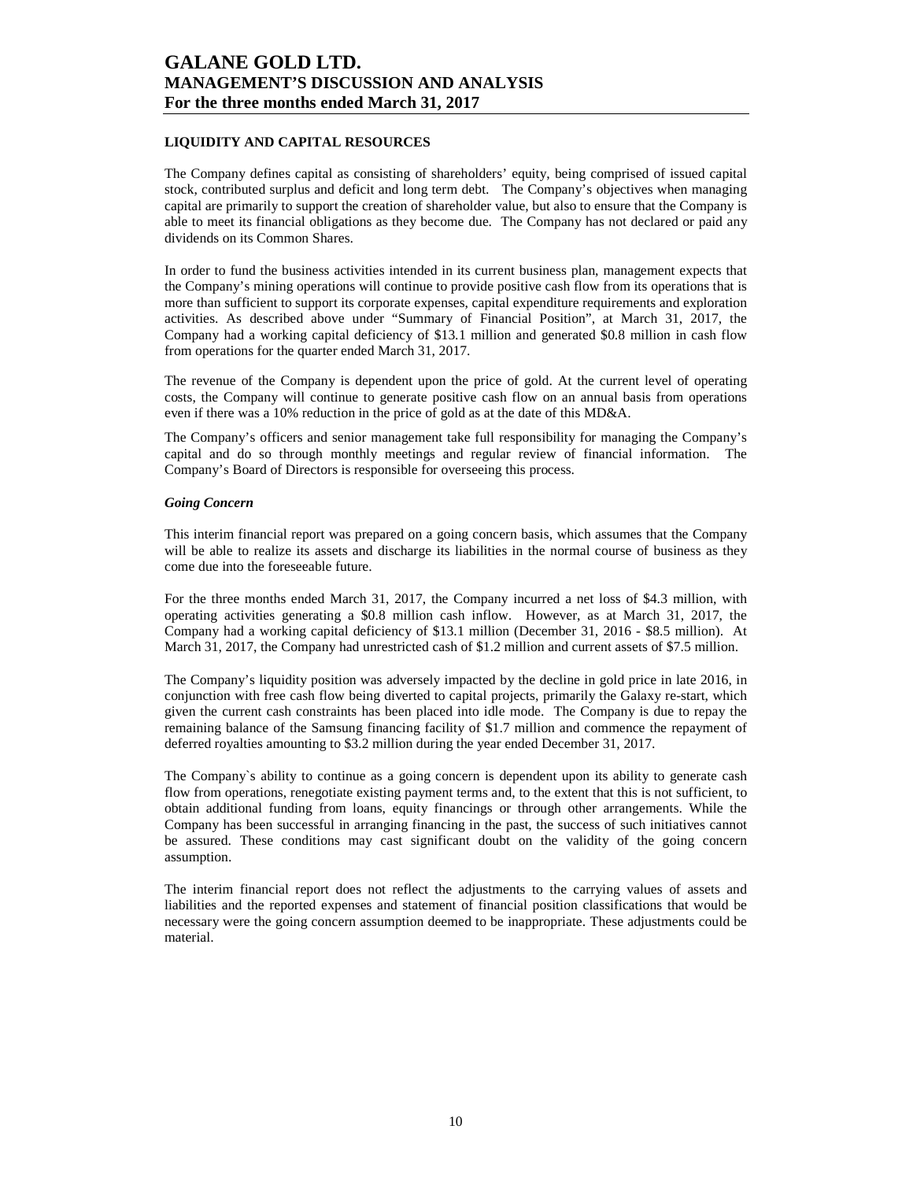### **LIQUIDITY AND CAPITAL RESOURCES**

The Company defines capital as consisting of shareholders' equity, being comprised of issued capital stock, contributed surplus and deficit and long term debt. The Company's objectives when managing capital are primarily to support the creation of shareholder value, but also to ensure that the Company is able to meet its financial obligations as they become due. The Company has not declared or paid any dividends on its Common Shares.

In order to fund the business activities intended in its current business plan, management expects that the Company's mining operations will continue to provide positive cash flow from its operations that is more than sufficient to support its corporate expenses, capital expenditure requirements and exploration activities. As described above under "Summary of Financial Position", at March 31, 2017, the Company had a working capital deficiency of \$13.1 million and generated \$0.8 million in cash flow from operations for the quarter ended March 31, 2017.

The revenue of the Company is dependent upon the price of gold. At the current level of operating costs, the Company will continue to generate positive cash flow on an annual basis from operations even if there was a 10% reduction in the price of gold as at the date of this MD&A.

The Company's officers and senior management take full responsibility for managing the Company's capital and do so through monthly meetings and regular review of financial information. The Company's Board of Directors is responsible for overseeing this process.

### *Going Concern*

This interim financial report was prepared on a going concern basis, which assumes that the Company will be able to realize its assets and discharge its liabilities in the normal course of business as they come due into the foreseeable future.

For the three months ended March 31, 2017, the Company incurred a net loss of \$4.3 million, with operating activities generating a \$0.8 million cash inflow. However, as at March 31, 2017, the Company had a working capital deficiency of \$13.1 million (December 31, 2016 - \$8.5 million). At March 31, 2017, the Company had unrestricted cash of \$1.2 million and current assets of \$7.5 million.

The Company's liquidity position was adversely impacted by the decline in gold price in late 2016, in conjunction with free cash flow being diverted to capital projects, primarily the Galaxy re-start, which given the current cash constraints has been placed into idle mode. The Company is due to repay the remaining balance of the Samsung financing facility of \$1.7 million and commence the repayment of deferred royalties amounting to \$3.2 million during the year ended December 31, 2017.

The Company`s ability to continue as a going concern is dependent upon its ability to generate cash flow from operations, renegotiate existing payment terms and, to the extent that this is not sufficient, to obtain additional funding from loans, equity financings or through other arrangements. While the Company has been successful in arranging financing in the past, the success of such initiatives cannot be assured. These conditions may cast significant doubt on the validity of the going concern assumption.

The interim financial report does not reflect the adjustments to the carrying values of assets and liabilities and the reported expenses and statement of financial position classifications that would be necessary were the going concern assumption deemed to be inappropriate. These adjustments could be material.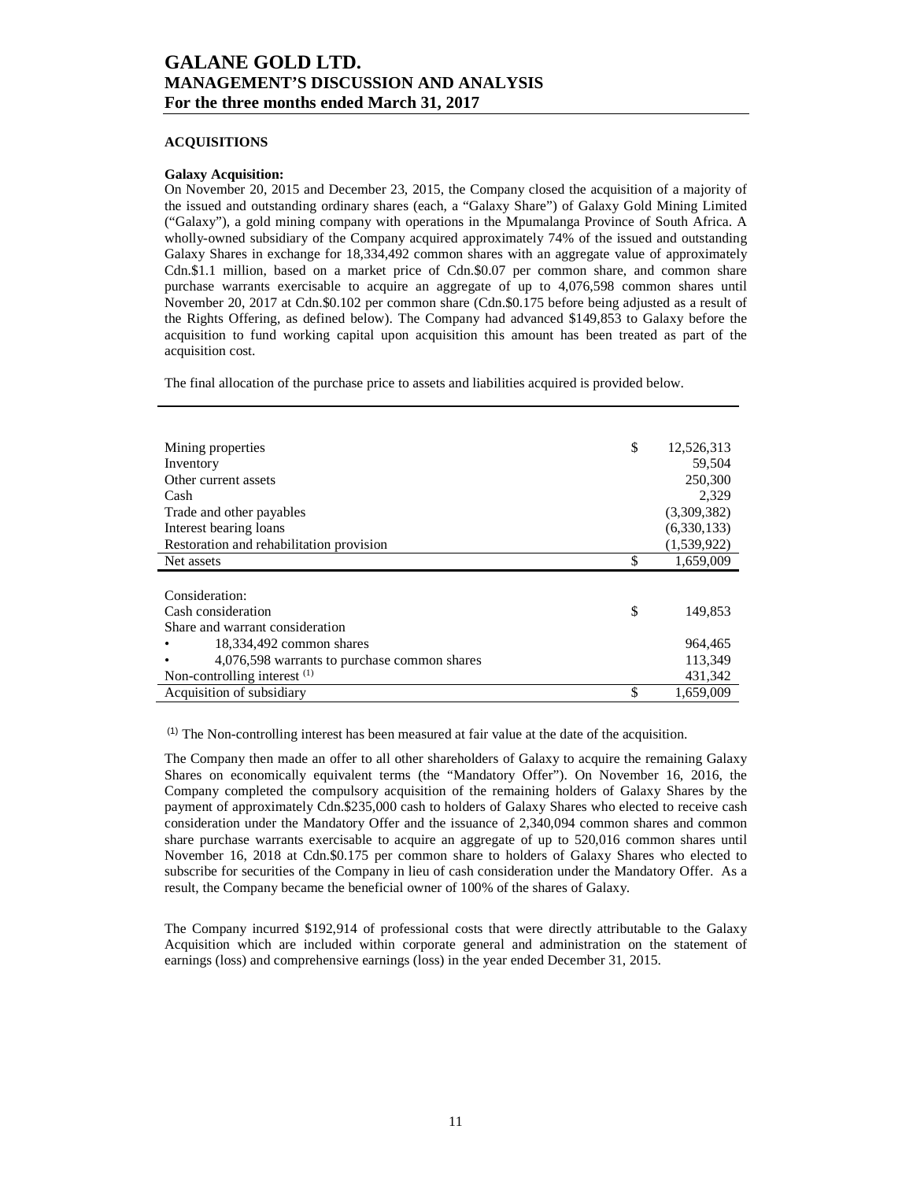#### **ACQUISITIONS**

#### **Galaxy Acquisition:**

On November 20, 2015 and December 23, 2015, the Company closed the acquisition of a majority of the issued and outstanding ordinary shares (each, a "Galaxy Share") of Galaxy Gold Mining Limited ("Galaxy"), a gold mining company with operations in the Mpumalanga Province of South Africa. A wholly-owned subsidiary of the Company acquired approximately 74% of the issued and outstanding Galaxy Shares in exchange for 18,334,492 common shares with an aggregate value of approximately Cdn.\$1.1 million, based on a market price of Cdn.\$0.07 per common share, and common share purchase warrants exercisable to acquire an aggregate of up to 4,076,598 common shares until November 20, 2017 at Cdn.\$0.102 per common share (Cdn.\$0.175 before being adjusted as a result of the Rights Offering, as defined below). The Company had advanced \$149,853 to Galaxy before the acquisition to fund working capital upon acquisition this amount has been treated as part of the acquisition cost.

The final allocation of the purchase price to assets and liabilities acquired is provided below.

| Mining properties                            | \$<br>12,526,313 |
|----------------------------------------------|------------------|
| Inventory                                    | 59,504           |
| Other current assets                         | 250,300          |
| Cash                                         | 2.329            |
| Trade and other payables                     | (3,309,382)      |
| Interest bearing loans                       | (6,330,133)      |
| Restoration and rehabilitation provision     | (1,539,922)      |
| Net assets                                   | \$<br>1,659,009  |
|                                              |                  |
| Consideration:                               |                  |
| Cash consideration                           | \$<br>149.853    |
| Share and warrant consideration              |                  |
| 18,334,492 common shares                     | 964,465          |
| 4,076,598 warrants to purchase common shares | 113,349          |
| Non-controlling interest $(1)$               | 431,342          |
| Acquisition of subsidiary                    | \$<br>1,659,009  |

 $<sup>(1)</sup>$  The Non-controlling interest has been measured at fair value at the date of the acquisition.</sup>

The Company then made an offer to all other shareholders of Galaxy to acquire the remaining Galaxy Shares on economically equivalent terms (the "Mandatory Offer"). On November 16, 2016, the Company completed the compulsory acquisition of the remaining holders of Galaxy Shares by the payment of approximately Cdn.\$235,000 cash to holders of Galaxy Shares who elected to receive cash consideration under the Mandatory Offer and the issuance of 2,340,094 common shares and common share purchase warrants exercisable to acquire an aggregate of up to 520,016 common shares until November 16, 2018 at Cdn.\$0.175 per common share to holders of Galaxy Shares who elected to subscribe for securities of the Company in lieu of cash consideration under the Mandatory Offer. As a result, the Company became the beneficial owner of 100% of the shares of Galaxy.

The Company incurred \$192,914 of professional costs that were directly attributable to the Galaxy Acquisition which are included within corporate general and administration on the statement of earnings (loss) and comprehensive earnings (loss) in the year ended December 31, 2015.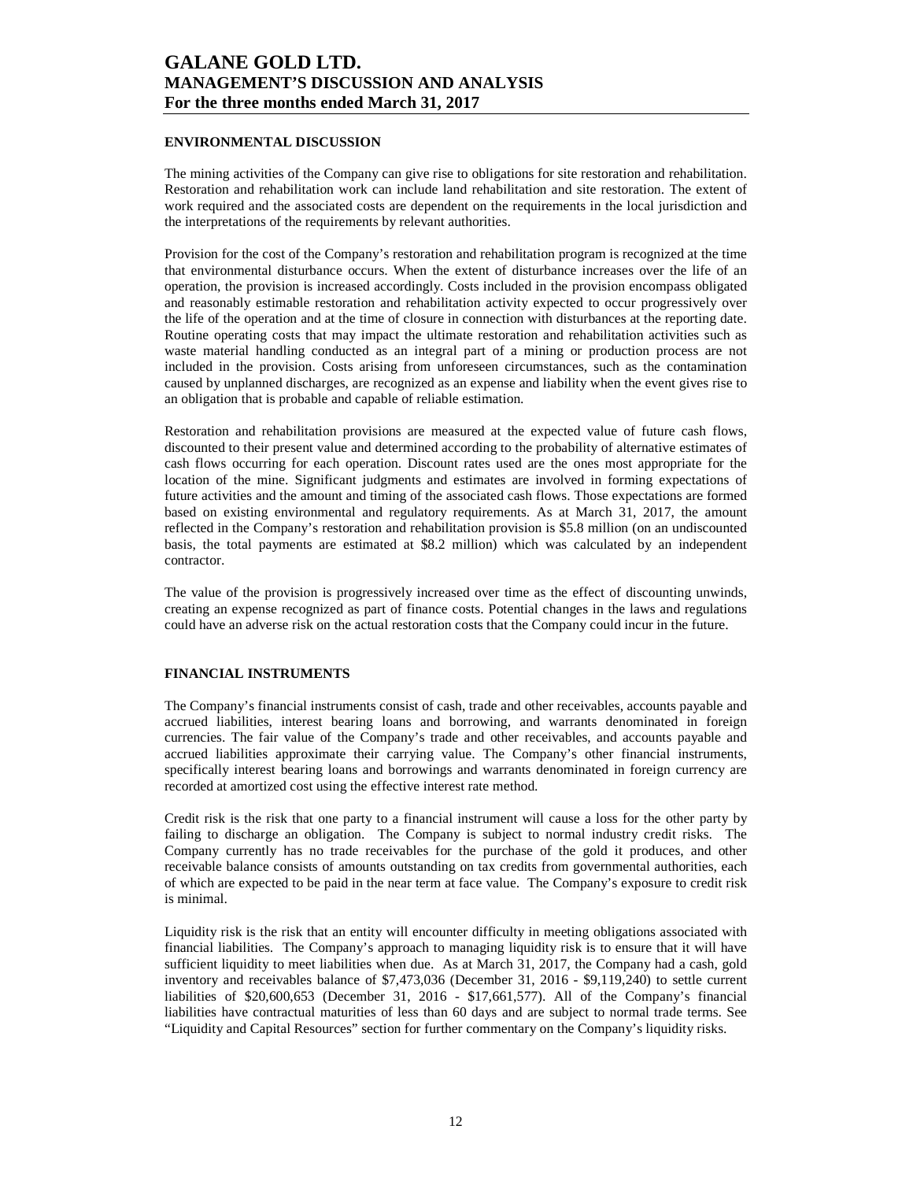### **ENVIRONMENTAL DISCUSSION**

The mining activities of the Company can give rise to obligations for site restoration and rehabilitation. Restoration and rehabilitation work can include land rehabilitation and site restoration. The extent of work required and the associated costs are dependent on the requirements in the local jurisdiction and the interpretations of the requirements by relevant authorities.

Provision for the cost of the Company's restoration and rehabilitation program is recognized at the time that environmental disturbance occurs. When the extent of disturbance increases over the life of an operation, the provision is increased accordingly. Costs included in the provision encompass obligated and reasonably estimable restoration and rehabilitation activity expected to occur progressively over the life of the operation and at the time of closure in connection with disturbances at the reporting date. Routine operating costs that may impact the ultimate restoration and rehabilitation activities such as waste material handling conducted as an integral part of a mining or production process are not included in the provision. Costs arising from unforeseen circumstances, such as the contamination caused by unplanned discharges, are recognized as an expense and liability when the event gives rise to an obligation that is probable and capable of reliable estimation.

Restoration and rehabilitation provisions are measured at the expected value of future cash flows, discounted to their present value and determined according to the probability of alternative estimates of cash flows occurring for each operation. Discount rates used are the ones most appropriate for the location of the mine. Significant judgments and estimates are involved in forming expectations of future activities and the amount and timing of the associated cash flows. Those expectations are formed based on existing environmental and regulatory requirements. As at March 31, 2017, the amount reflected in the Company's restoration and rehabilitation provision is \$5.8 million (on an undiscounted basis, the total payments are estimated at \$8.2 million) which was calculated by an independent contractor.

The value of the provision is progressively increased over time as the effect of discounting unwinds, creating an expense recognized as part of finance costs. Potential changes in the laws and regulations could have an adverse risk on the actual restoration costs that the Company could incur in the future.

### **FINANCIAL INSTRUMENTS**

The Company's financial instruments consist of cash, trade and other receivables, accounts payable and accrued liabilities, interest bearing loans and borrowing, and warrants denominated in foreign currencies. The fair value of the Company's trade and other receivables, and accounts payable and accrued liabilities approximate their carrying value. The Company's other financial instruments, specifically interest bearing loans and borrowings and warrants denominated in foreign currency are recorded at amortized cost using the effective interest rate method.

Credit risk is the risk that one party to a financial instrument will cause a loss for the other party by failing to discharge an obligation. The Company is subject to normal industry credit risks. The Company currently has no trade receivables for the purchase of the gold it produces, and other receivable balance consists of amounts outstanding on tax credits from governmental authorities, each of which are expected to be paid in the near term at face value. The Company's exposure to credit risk is minimal.

Liquidity risk is the risk that an entity will encounter difficulty in meeting obligations associated with financial liabilities. The Company's approach to managing liquidity risk is to ensure that it will have sufficient liquidity to meet liabilities when due. As at March 31, 2017, the Company had a cash, gold inventory and receivables balance of \$7,473,036 (December 31, 2016 - \$9,119,240) to settle current liabilities of \$20,600,653 (December 31, 2016 - \$17,661,577). All of the Company's financial liabilities have contractual maturities of less than 60 days and are subject to normal trade terms. See "Liquidity and Capital Resources" section for further commentary on the Company's liquidity risks.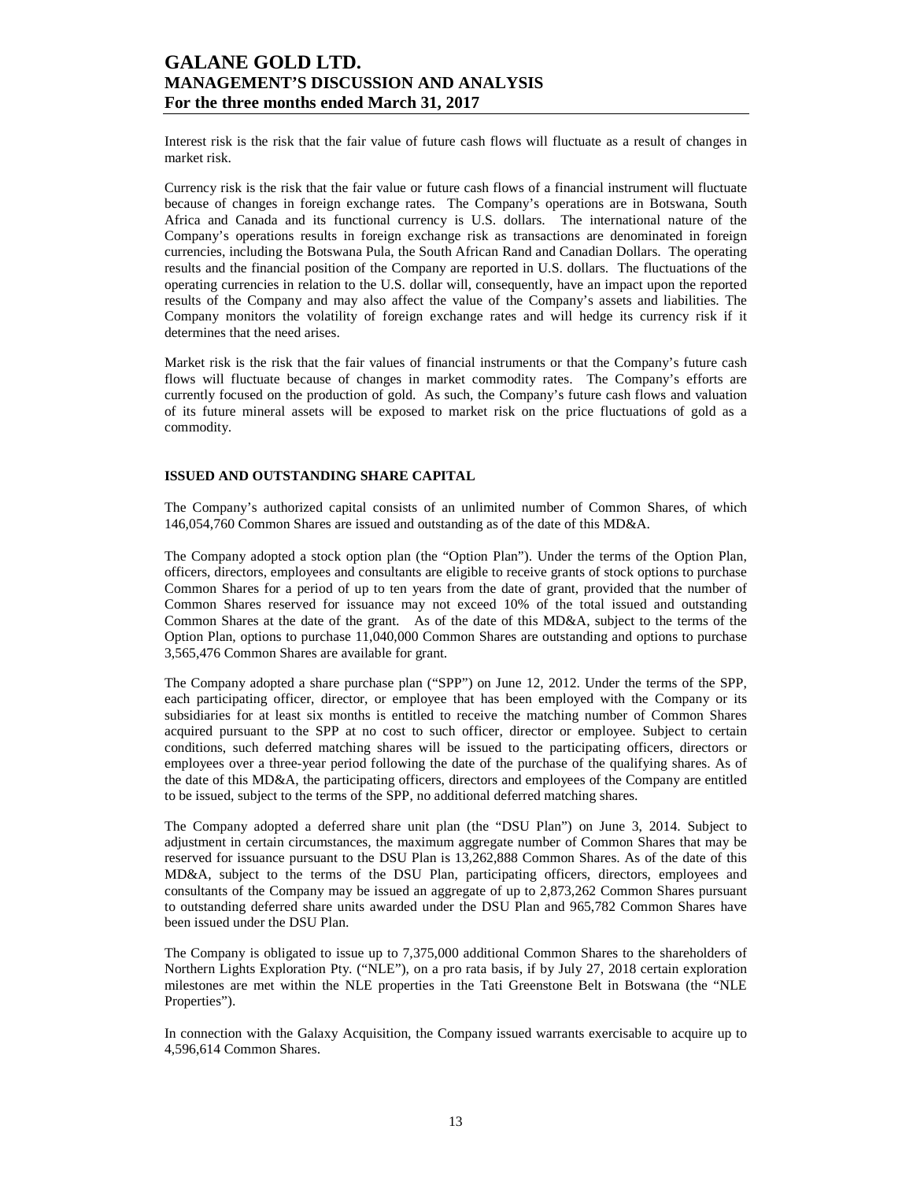Interest risk is the risk that the fair value of future cash flows will fluctuate as a result of changes in market risk.

Currency risk is the risk that the fair value or future cash flows of a financial instrument will fluctuate because of changes in foreign exchange rates. The Company's operations are in Botswana, South Africa and Canada and its functional currency is U.S. dollars. The international nature of the Company's operations results in foreign exchange risk as transactions are denominated in foreign currencies, including the Botswana Pula, the South African Rand and Canadian Dollars. The operating results and the financial position of the Company are reported in U.S. dollars. The fluctuations of the operating currencies in relation to the U.S. dollar will, consequently, have an impact upon the reported results of the Company and may also affect the value of the Company's assets and liabilities. The Company monitors the volatility of foreign exchange rates and will hedge its currency risk if it determines that the need arises.

Market risk is the risk that the fair values of financial instruments or that the Company's future cash flows will fluctuate because of changes in market commodity rates. The Company's efforts are currently focused on the production of gold. As such, the Company's future cash flows and valuation of its future mineral assets will be exposed to market risk on the price fluctuations of gold as a commodity.

#### **ISSUED AND OUTSTANDING SHARE CAPITAL**

The Company's authorized capital consists of an unlimited number of Common Shares, of which 146,054,760 Common Shares are issued and outstanding as of the date of this MD&A.

The Company adopted a stock option plan (the "Option Plan"). Under the terms of the Option Plan, officers, directors, employees and consultants are eligible to receive grants of stock options to purchase Common Shares for a period of up to ten years from the date of grant, provided that the number of Common Shares reserved for issuance may not exceed 10% of the total issued and outstanding Common Shares at the date of the grant. As of the date of this MD&A, subject to the terms of the Option Plan, options to purchase 11,040,000 Common Shares are outstanding and options to purchase 3,565,476 Common Shares are available for grant.

The Company adopted a share purchase plan ("SPP") on June 12, 2012. Under the terms of the SPP, each participating officer, director, or employee that has been employed with the Company or its subsidiaries for at least six months is entitled to receive the matching number of Common Shares acquired pursuant to the SPP at no cost to such officer, director or employee. Subject to certain conditions, such deferred matching shares will be issued to the participating officers, directors or employees over a three-year period following the date of the purchase of the qualifying shares. As of the date of this MD&A, the participating officers, directors and employees of the Company are entitled to be issued, subject to the terms of the SPP, no additional deferred matching shares.

The Company adopted a deferred share unit plan (the "DSU Plan") on June 3, 2014. Subject to adjustment in certain circumstances, the maximum aggregate number of Common Shares that may be reserved for issuance pursuant to the DSU Plan is 13,262,888 Common Shares. As of the date of this MD&A, subject to the terms of the DSU Plan, participating officers, directors, employees and consultants of the Company may be issued an aggregate of up to 2,873,262 Common Shares pursuant to outstanding deferred share units awarded under the DSU Plan and 965,782 Common Shares have been issued under the DSU Plan.

The Company is obligated to issue up to 7,375,000 additional Common Shares to the shareholders of Northern Lights Exploration Pty. ("NLE"), on a pro rata basis, if by July 27, 2018 certain exploration milestones are met within the NLE properties in the Tati Greenstone Belt in Botswana (the "NLE Properties").

In connection with the Galaxy Acquisition, the Company issued warrants exercisable to acquire up to 4,596,614 Common Shares.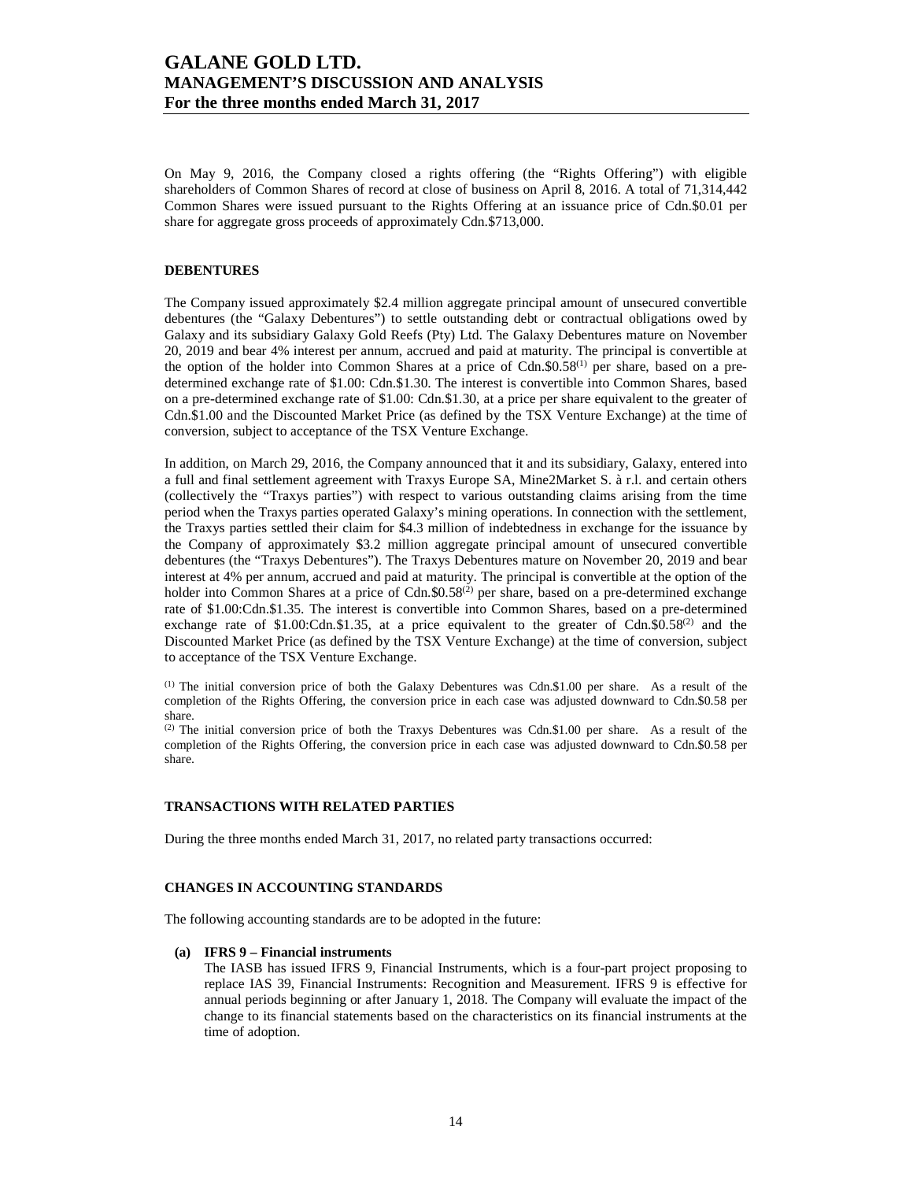On May 9, 2016, the Company closed a rights offering (the "Rights Offering") with eligible shareholders of Common Shares of record at close of business on April 8, 2016. A total of 71,314,442 Common Shares were issued pursuant to the Rights Offering at an issuance price of Cdn.\$0.01 per share for aggregate gross proceeds of approximately Cdn.\$713,000.

### **DEBENTURES**

The Company issued approximately \$2.4 million aggregate principal amount of unsecured convertible debentures (the "Galaxy Debentures") to settle outstanding debt or contractual obligations owed by Galaxy and its subsidiary Galaxy Gold Reefs (Pty) Ltd. The Galaxy Debentures mature on November 20, 2019 and bear 4% interest per annum, accrued and paid at maturity. The principal is convertible at the option of the holder into Common Shares at a price of Cdn.\$0.58<sup>(1)</sup> per share, based on a predetermined exchange rate of \$1.00: Cdn.\$1.30. The interest is convertible into Common Shares, based on a pre-determined exchange rate of \$1.00: Cdn.\$1.30, at a price per share equivalent to the greater of Cdn.\$1.00 and the Discounted Market Price (as defined by the TSX Venture Exchange) at the time of conversion, subject to acceptance of the TSX Venture Exchange.

In addition, on March 29, 2016, the Company announced that it and its subsidiary, Galaxy, entered into a full and final settlement agreement with Traxys Europe SA, Mine2Market S. à r.l. and certain others (collectively the "Traxys parties") with respect to various outstanding claims arising from the time period when the Traxys parties operated Galaxy's mining operations. In connection with the settlement, the Traxys parties settled their claim for \$4.3 million of indebtedness in exchange for the issuance by the Company of approximately \$3.2 million aggregate principal amount of unsecured convertible debentures (the "Traxys Debentures"). The Traxys Debentures mature on November 20, 2019 and bear interest at 4% per annum, accrued and paid at maturity. The principal is convertible at the option of the holder into Common Shares at a price of Cdn. $$0.58<sup>(2)</sup>$  per share, based on a pre-determined exchange rate of \$1.00:Cdn.\$1.35. The interest is convertible into Common Shares, based on a pre-determined exchange rate of \$1.00:Cdn.\$1.35, at a price equivalent to the greater of Cdn.\$0.58<sup>(2)</sup> and the Discounted Market Price (as defined by the TSX Venture Exchange) at the time of conversion, subject to acceptance of the TSX Venture Exchange.

(1) The initial conversion price of both the Galaxy Debentures was Cdn.\$1.00 per share. As a result of the completion of the Rights Offering, the conversion price in each case was adjusted downward to Cdn.\$0.58 per share.

(2) The initial conversion price of both the Traxys Debentures was Cdn.\$1.00 per share. As a result of the completion of the Rights Offering, the conversion price in each case was adjusted downward to Cdn.\$0.58 per share.

#### **TRANSACTIONS WITH RELATED PARTIES**

During the three months ended March 31, 2017, no related party transactions occurred:

### **CHANGES IN ACCOUNTING STANDARDS**

The following accounting standards are to be adopted in the future:

#### **(a) IFRS 9 – Financial instruments**

The IASB has issued IFRS 9, Financial Instruments, which is a four-part project proposing to replace IAS 39, Financial Instruments: Recognition and Measurement. IFRS 9 is effective for annual periods beginning or after January 1, 2018. The Company will evaluate the impact of the change to its financial statements based on the characteristics on its financial instruments at the time of adoption.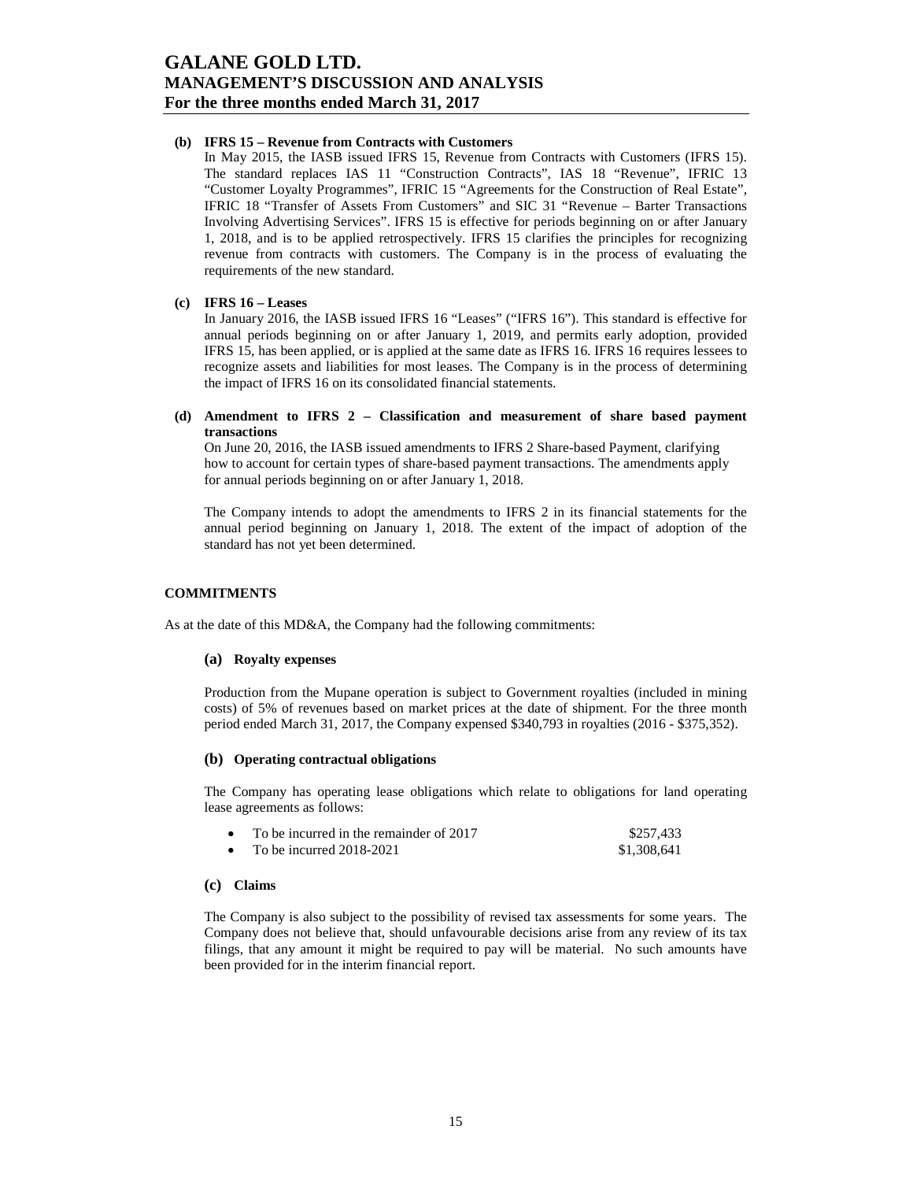### **(b) IFRS 15 – Revenue from Contracts with Customers**

In May 2015, the IASB issued IFRS 15, Revenue from Contracts with Customers (IFRS 15). The standard replaces IAS 11 "Construction Contracts", IAS 18 "Revenue", IFRIC 13 "Customer Loyalty Programmes", IFRIC 15 "Agreements for the Construction of Real Estate", IFRIC 18 "Transfer of Assets From Customers" and SIC 31 "Revenue – Barter Transactions Involving Advertising Services". IFRS 15 is effective for periods beginning on or after January 1, 2018, and is to be applied retrospectively. IFRS 15 clarifies the principles for recognizing revenue from contracts with customers. The Company is in the process of evaluating the requirements of the new standard.

#### **(c) IFRS 16 – Leases**

In January 2016, the IASB issued IFRS 16 "Leases" ("IFRS 16"). This standard is effective for annual periods beginning on or after January 1, 2019, and permits early adoption, provided IFRS 15, has been applied, or is applied at the same date as IFRS 16. IFRS 16 requires lessees to recognize assets and liabilities for most leases. The Company is in the process of determining the impact of IFRS 16 on its consolidated financial statements.

#### **(d) Amendment to IFRS 2 – Classification and measurement of share based payment transactions**

On June 20, 2016, the IASB issued amendments to IFRS 2 Share-based Payment, clarifying how to account for certain types of share-based payment transactions. The amendments apply for annual periods beginning on or after January 1, 2018.

The Company intends to adopt the amendments to IFRS 2 in its financial statements for the annual period beginning on January 1, 2018. The extent of the impact of adoption of the standard has not yet been determined.

### **COMMITMENTS**

As at the date of this MD&A, the Company had the following commitments:

### **(a) Royalty expenses**

Production from the Mupane operation is subject to Government royalties (included in mining costs) of 5% of revenues based on market prices at the date of shipment. For the three month period ended March 31, 2017, the Company expensed \$340,793 in royalties (2016 - \$375,352).

#### **(b) Operating contractual obligations**

The Company has operating lease obligations which relate to obligations for land operating lease agreements as follows:

| To be incurred in the remainder of 2017 | \$257,433   |
|-----------------------------------------|-------------|
| To be incurred $2018-2021$              | \$1,308,641 |

### **(c) Claims**

The Company is also subject to the possibility of revised tax assessments for some years. The Company does not believe that, should unfavourable decisions arise from any review of its tax filings, that any amount it might be required to pay will be material. No such amounts have been provided for in the interim financial report.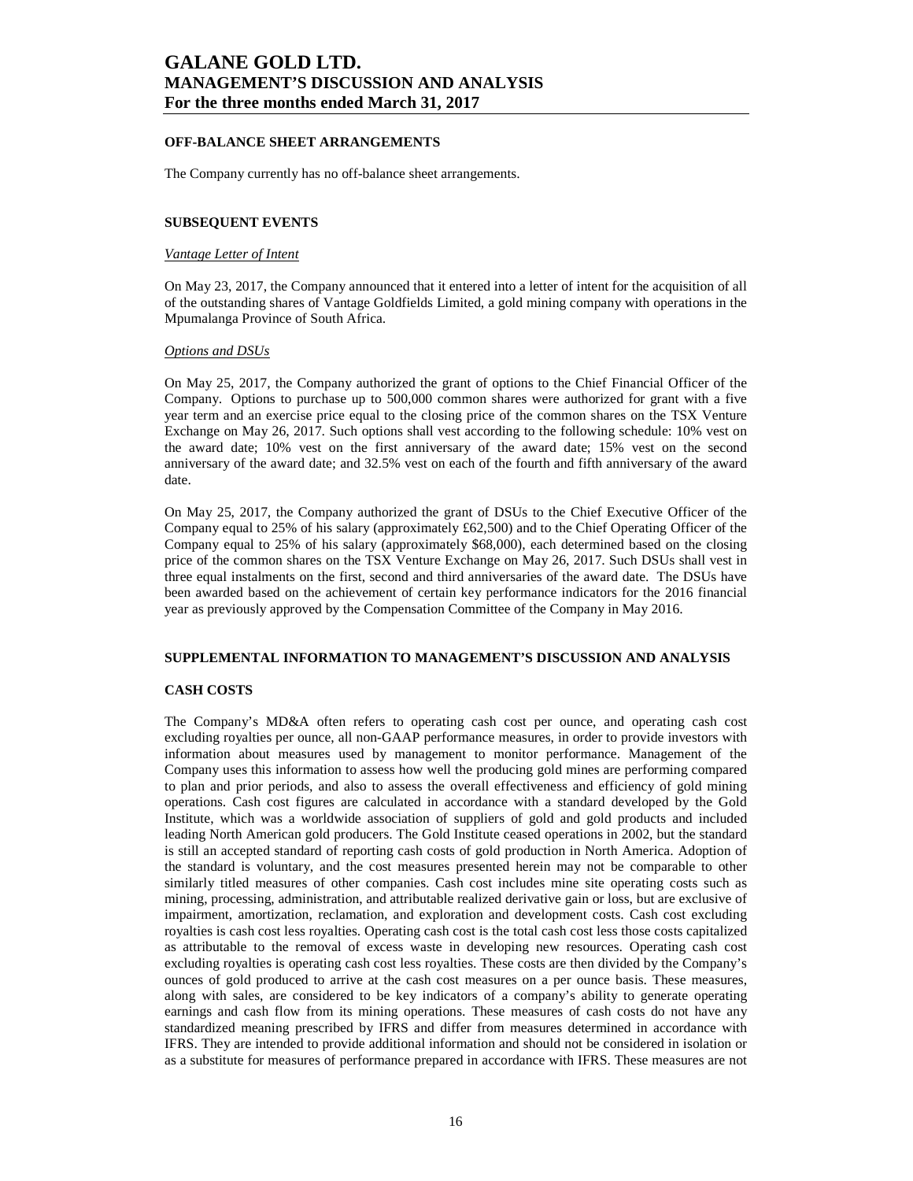#### **OFF-BALANCE SHEET ARRANGEMENTS**

The Company currently has no off-balance sheet arrangements.

#### **SUBSEQUENT EVENTS**

#### *Vantage Letter of Intent*

On May 23, 2017, the Company announced that it entered into a letter of intent for the acquisition of all of the outstanding shares of Vantage Goldfields Limited, a gold mining company with operations in the Mpumalanga Province of South Africa.

#### *Options and DSUs*

On May 25, 2017, the Company authorized the grant of options to the Chief Financial Officer of the Company. Options to purchase up to 500,000 common shares were authorized for grant with a five year term and an exercise price equal to the closing price of the common shares on the TSX Venture Exchange on May 26, 2017. Such options shall vest according to the following schedule: 10% vest on the award date; 10% vest on the first anniversary of the award date; 15% vest on the second anniversary of the award date; and 32.5% vest on each of the fourth and fifth anniversary of the award date.

On May 25, 2017, the Company authorized the grant of DSUs to the Chief Executive Officer of the Company equal to 25% of his salary (approximately £62,500) and to the Chief Operating Officer of the Company equal to 25% of his salary (approximately \$68,000), each determined based on the closing price of the common shares on the TSX Venture Exchange on May 26, 2017. Such DSUs shall vest in three equal instalments on the first, second and third anniversaries of the award date. The DSUs have been awarded based on the achievement of certain key performance indicators for the 2016 financial year as previously approved by the Compensation Committee of the Company in May 2016.

### **SUPPLEMENTAL INFORMATION TO MANAGEMENT'S DISCUSSION AND ANALYSIS**

#### **CASH COSTS**

The Company's MD&A often refers to operating cash cost per ounce, and operating cash cost excluding royalties per ounce, all non-GAAP performance measures, in order to provide investors with information about measures used by management to monitor performance. Management of the Company uses this information to assess how well the producing gold mines are performing compared to plan and prior periods, and also to assess the overall effectiveness and efficiency of gold mining operations. Cash cost figures are calculated in accordance with a standard developed by the Gold Institute, which was a worldwide association of suppliers of gold and gold products and included leading North American gold producers. The Gold Institute ceased operations in 2002, but the standard is still an accepted standard of reporting cash costs of gold production in North America. Adoption of the standard is voluntary, and the cost measures presented herein may not be comparable to other similarly titled measures of other companies. Cash cost includes mine site operating costs such as mining, processing, administration, and attributable realized derivative gain or loss, but are exclusive of impairment, amortization, reclamation, and exploration and development costs. Cash cost excluding royalties is cash cost less royalties. Operating cash cost is the total cash cost less those costs capitalized as attributable to the removal of excess waste in developing new resources. Operating cash cost excluding royalties is operating cash cost less royalties. These costs are then divided by the Company's ounces of gold produced to arrive at the cash cost measures on a per ounce basis. These measures, along with sales, are considered to be key indicators of a company's ability to generate operating earnings and cash flow from its mining operations. These measures of cash costs do not have any standardized meaning prescribed by IFRS and differ from measures determined in accordance with IFRS. They are intended to provide additional information and should not be considered in isolation or as a substitute for measures of performance prepared in accordance with IFRS. These measures are not